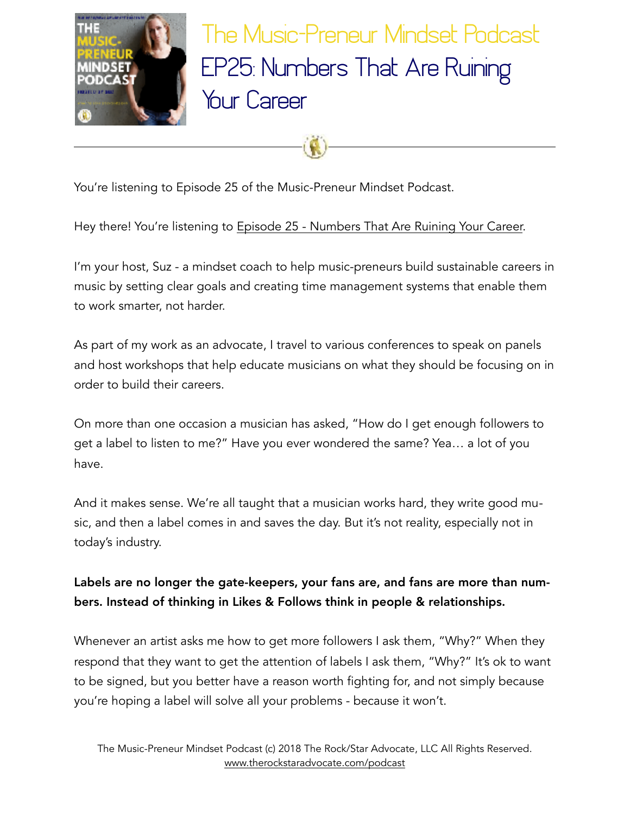

The Music-Preneur Mindset Podcast EP25: Numbers That Are Ruining Your Career

You're listening to Episode 25 of the Music-Preneur Mindset Podcast.

Hey there! You're listening to [Episode 25 - Numbers That Are Ruining Your Career.](http://www.therockstaradvocate.com/ep25)

I'm your host, Suz - a mindset coach to help music-preneurs build sustainable careers in music by setting clear goals and creating time management systems that enable them to work smarter, not harder.

As part of my work as an advocate, I travel to various conferences to speak on panels and host workshops that help educate musicians on what they should be focusing on in order to build their careers.

On more than one occasion a musician has asked, "How do I get enough followers to get a label to listen to me?" Have you ever wondered the same? Yea… a lot of you have.

And it makes sense. We're all taught that a musician works hard, they write good music, and then a label comes in and saves the day. But it's not reality, especially not in today's industry.

## Labels are no longer the gate-keepers, your fans are, and fans are more than numbers. Instead of thinking in Likes & Follows think in people & relationships.

Whenever an artist asks me how to get more followers I ask them, "Why?" When they respond that they want to get the attention of labels I ask them, "Why?" It's ok to want to be signed, but you better have a reason worth fighting for, and not simply because you're hoping a label will solve all your problems - because it won't.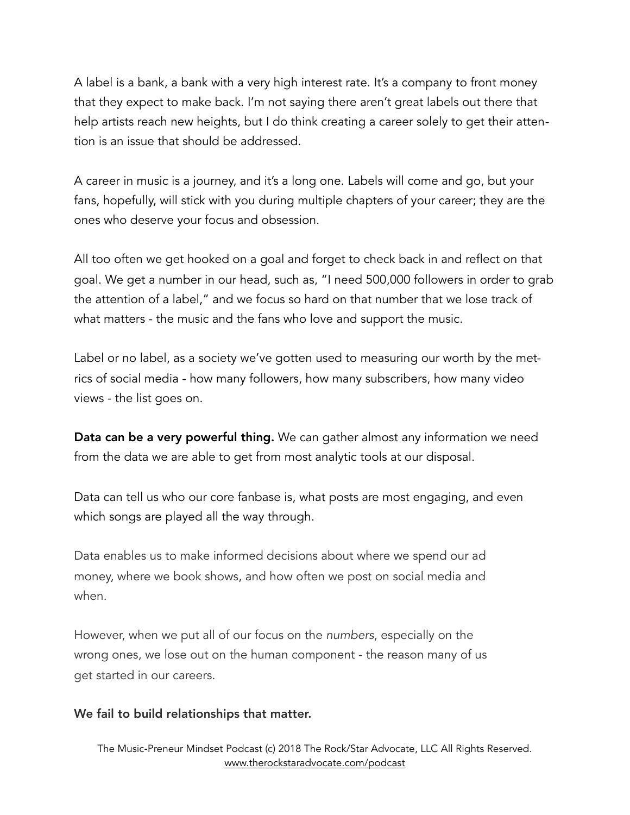A label is a bank, a bank with a very high interest rate. It's a company to front money that they expect to make back. I'm not saying there aren't great labels out there that help artists reach new heights, but I do think creating a career solely to get their attention is an issue that should be addressed.

A career in music is a journey, and it's a long one. Labels will come and go, but your fans, hopefully, will stick with you during multiple chapters of your career; they are the ones who deserve your focus and obsession.

All too often we get hooked on a goal and forget to check back in and reflect on that goal. We get a number in our head, such as, "I need 500,000 followers in order to grab the attention of a label," and we focus so hard on that number that we lose track of what matters - the music and the fans who love and support the music.

Label or no label, as a society we've gotten used to measuring our worth by the metrics of social media - how many followers, how many subscribers, how many video views - the list goes on.

Data can be a very powerful thing. We can gather almost any information we need from the data we are able to get from most analytic tools at our disposal.

Data can tell us who our core fanbase is, what posts are most engaging, and even which songs are played all the way through.

Data enables us to make informed decisions about where we spend our ad money, where we book shows, and how often we post on social media and when.

However, when we put all of our focus on the *numbers*, especially on the wrong ones, we lose out on the human component - the reason many of us get started in our careers.

#### We fail to build relationships that matter.

 The Music-Preneur Mindset Podcast (c) 2018 The Rock/Star Advocate, LLC All Rights Reserved. [www.therockstaradvocate.com/podcast](http://www.therockstaradvocate.com/podcast)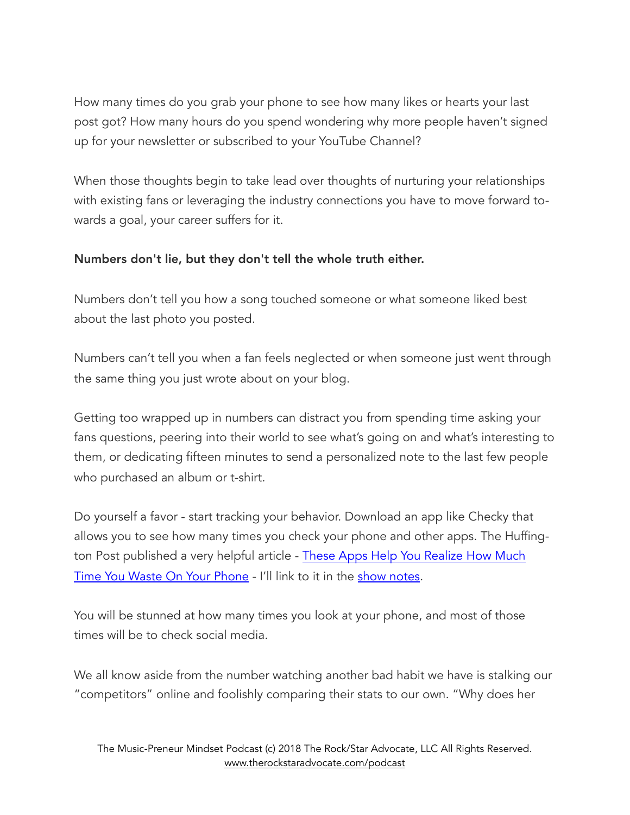How many times do you grab your phone to see how many likes or hearts your last post got? How many hours do you spend wondering why more people haven't signed up for your newsletter or subscribed to your YouTube Channel?

When those thoughts begin to take lead over thoughts of nurturing your relationships with existing fans or leveraging the industry connections you have to move forward towards a goal, your career suffers for it.

### Numbers don't lie, but they don't tell the whole truth either.

Numbers don't tell you how a song touched someone or what someone liked best about the last photo you posted.

Numbers can't tell you when a fan feels neglected or when someone just went through the same thing you just wrote about on your blog.

Getting too wrapped up in numbers can distract you from spending time asking your fans questions, peering into their world to see what's going on and what's interesting to them, or dedicating fifteen minutes to send a personalized note to the last few people who purchased an album or t-shirt.

Do yourself a favor - start tracking your behavior. Download an app like Checky that allows you to see how many times you check your phone and other apps. The Huffington Post published a very helpful article - [These Apps Help You Realize How Much](https://www.huffingtonpost.com/2014/11/05/apps-smartphone-use-_n_6096748.html)  [Time You Waste On Your Phone](https://www.huffingtonpost.com/2014/11/05/apps-smartphone-use-_n_6096748.html) - I'll link to it in the [show notes](http://www.therockstaradvocate.com/ep25).

You will be stunned at how many times you look at your phone, and most of those times will be to check social media.

We all know aside from the number watching another bad habit we have is stalking our "competitors" online and foolishly comparing their stats to our own. "Why does her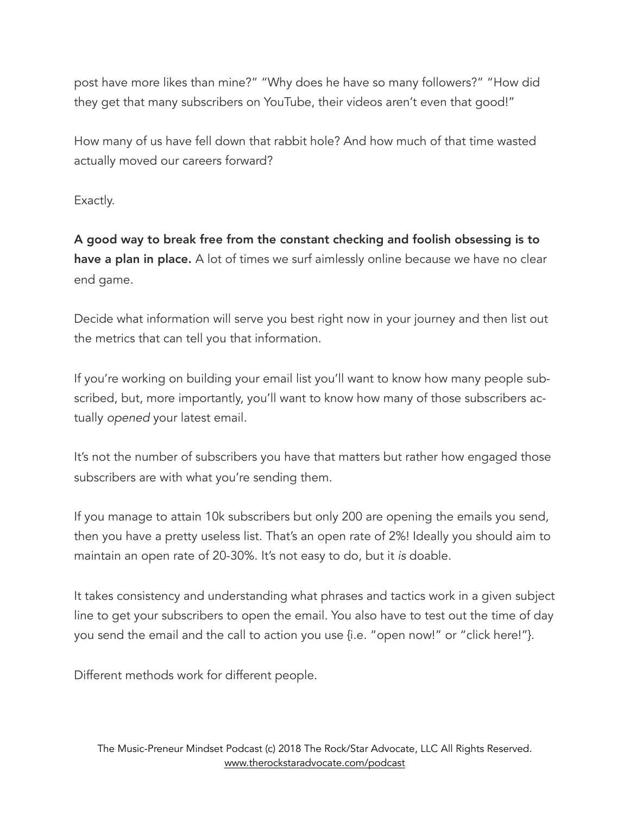post have more likes than mine?" "Why does he have so many followers?" "How did they get that many subscribers on YouTube, their videos aren't even that good!"

How many of us have fell down that rabbit hole? And how much of that time wasted actually moved our careers forward?

Exactly.

A good way to break free from the constant checking and foolish obsessing is to have a plan in place. A lot of times we surf aimlessly online because we have no clear end game.

Decide what information will serve you best right now in your journey and then list out the metrics that can tell you that information.

If you're working on building your email list you'll want to know how many people subscribed, but, more importantly, you'll want to know how many of those subscribers actually *opened* your latest email.

It's not the number of subscribers you have that matters but rather how engaged those subscribers are with what you're sending them.

If you manage to attain 10k subscribers but only 200 are opening the emails you send, then you have a pretty useless list. That's an open rate of 2%! Ideally you should aim to maintain an open rate of 20-30%. It's not easy to do, but it *is* doable.

It takes consistency and understanding what phrases and tactics work in a given subject line to get your subscribers to open the email. You also have to test out the time of day you send the email and the call to action you use {i.e. "open now!" or "click here!"}.

Different methods work for different people.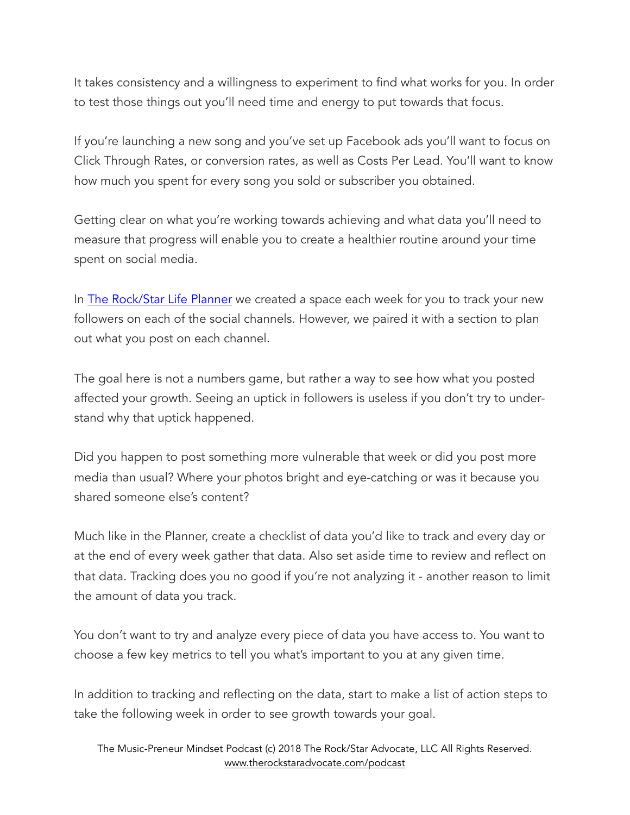It takes consistency and a willingness to experiment to find what works for you. In order to test those things out you'll need time and energy to put towards that focus.

If you're launching a new song and you've set up Facebook ads you'll want to focus on Click Through Rates, or conversion rates, as well as Costs Per Lead. You'll want to know how much you spent for every song you sold or subscriber you obtained.

Getting clear on what you're working towards achieving and what data you'll need to measure that progress will enable you to create a healthier routine around your time spent on social media.

In [The Rock/Star Life Planner](http://www.therockstaradvocate.com/planner) we created a space each week for you to track your new followers on each of the social channels. However, we paired it with a section to plan out what you post on each channel.

The goal here is not a numbers game, but rather a way to see how what you posted affected your growth. Seeing an uptick in followers is useless if you don't try to understand why that uptick happened.

Did you happen to post something more vulnerable that week or did you post more media than usual? Where your photos bright and eye-catching or was it because you shared someone else's content?

Much like in the Planner, create a checklist of data you'd like to track and every day or at the end of every week gather that data. Also set aside time to review and reflect on that data. Tracking does you no good if you're not analyzing it - another reason to limit the amount of data you track.

You don't want to try and analyze every piece of data you have access to. You want to choose a few key metrics to tell you what's important to you at any given time.

In addition to tracking and reflecting on the data, start to make a list of action steps to take the following week in order to see growth towards your goal.

 The Music-Preneur Mindset Podcast (c) 2018 The Rock/Star Advocate, LLC All Rights Reserved. [www.therockstaradvocate.com/podcast](http://www.therockstaradvocate.com/podcast)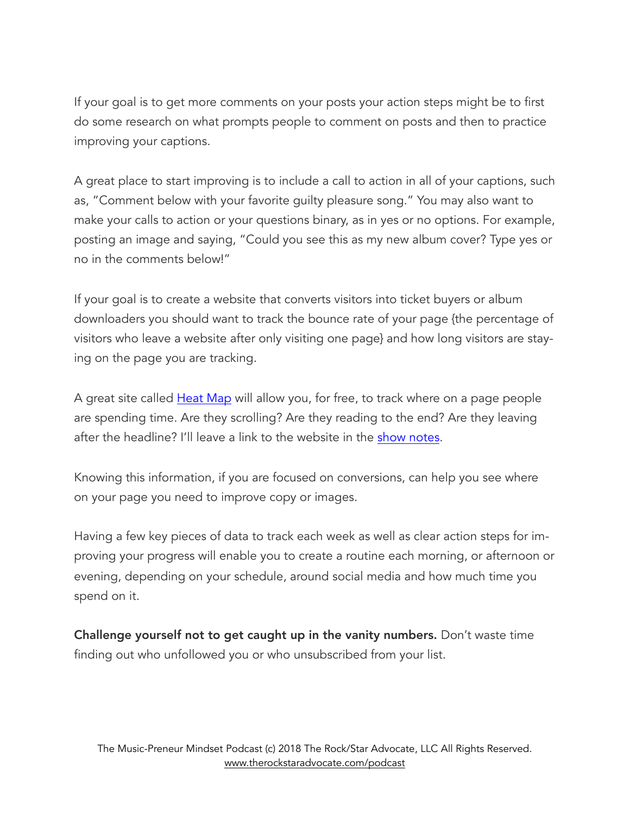If your goal is to get more comments on your posts your action steps might be to first do some research on what prompts people to comment on posts and then to practice improving your captions.

A great place to start improving is to include a call to action in all of your captions, such as, "Comment below with your favorite guilty pleasure song." You may also want to make your calls to action or your questions binary, as in yes or no options. For example, posting an image and saying, "Could you see this as my new album cover? Type yes or no in the comments below!"

If your goal is to create a website that converts visitors into ticket buyers or album downloaders you should want to track the bounce rate of your page {the percentage of visitors who leave a website after only visiting one page} and how long visitors are staying on the page you are tracking.

A great site called [Heat Map](https://heatmap.me/#plans-pricing) will allow you, for free, to track where on a page people are spending time. Are they scrolling? Are they reading to the end? Are they leaving after the headline? I'll leave a link to the website in the [show notes](http://www.therockstaradvocate.com).

Knowing this information, if you are focused on conversions, can help you see where on your page you need to improve copy or images.

Having a few key pieces of data to track each week as well as clear action steps for improving your progress will enable you to create a routine each morning, or afternoon or evening, depending on your schedule, around social media and how much time you spend on it.

Challenge yourself not to get caught up in the vanity numbers. Don't waste time finding out who unfollowed you or who unsubscribed from your list.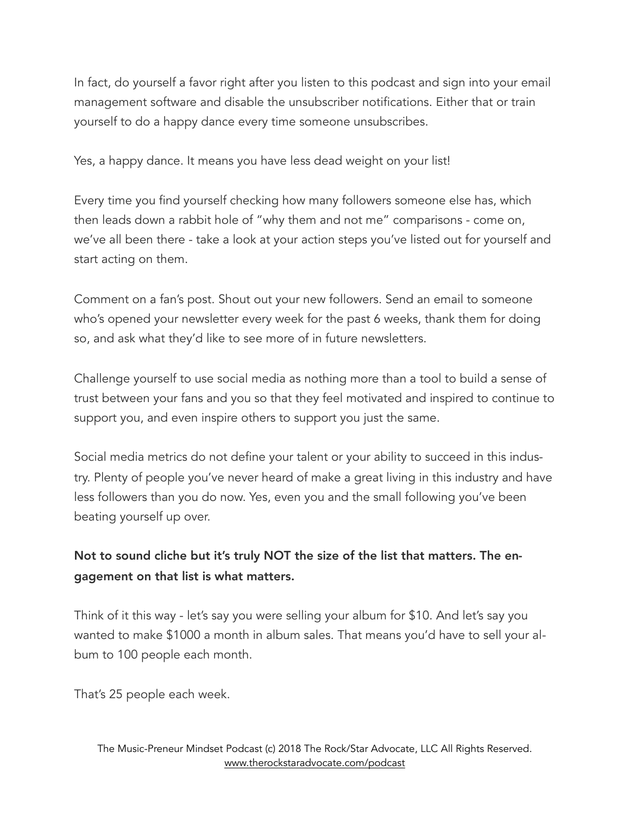In fact, do yourself a favor right after you listen to this podcast and sign into your email management software and disable the unsubscriber notifications. Either that or train yourself to do a happy dance every time someone unsubscribes.

Yes, a happy dance. It means you have less dead weight on your list!

Every time you find yourself checking how many followers someone else has, which then leads down a rabbit hole of "why them and not me" comparisons - come on, we've all been there - take a look at your action steps you've listed out for yourself and start acting on them.

Comment on a fan's post. Shout out your new followers. Send an email to someone who's opened your newsletter every week for the past 6 weeks, thank them for doing so, and ask what they'd like to see more of in future newsletters.

Challenge yourself to use social media as nothing more than a tool to build a sense of trust between your fans and you so that they feel motivated and inspired to continue to support you, and even inspire others to support you just the same.

Social media metrics do not define your talent or your ability to succeed in this industry. Plenty of people you've never heard of make a great living in this industry and have less followers than you do now. Yes, even you and the small following you've been beating yourself up over.

# Not to sound cliche but it's truly NOT the size of the list that matters. The engagement on that list is what matters.

Think of it this way - let's say you were selling your album for \$10. And let's say you wanted to make \$1000 a month in album sales. That means you'd have to sell your album to 100 people each month.

That's 25 people each week.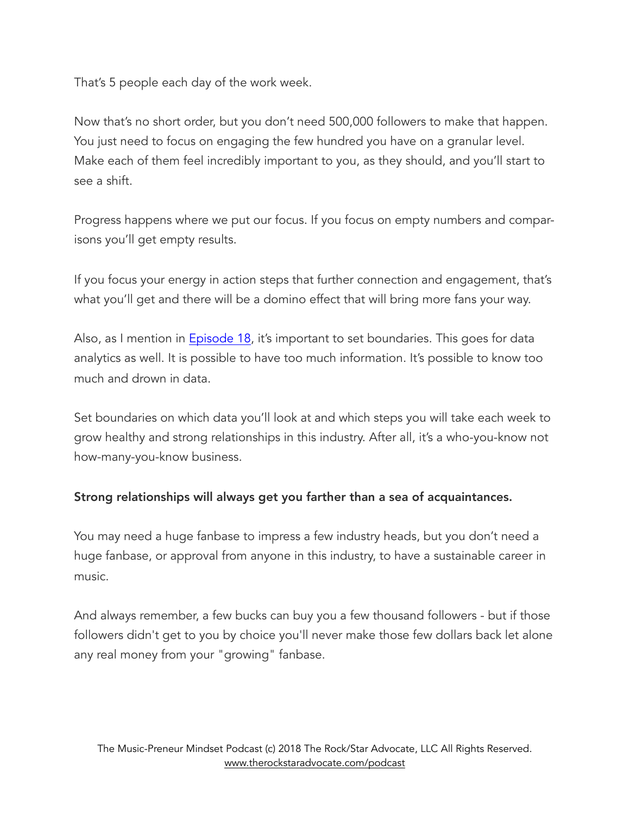That's 5 people each day of the work week.

Now that's no short order, but you don't need 500,000 followers to make that happen. You just need to focus on engaging the few hundred you have on a granular level. Make each of them feel incredibly important to you, as they should, and you'll start to see a shift.

Progress happens where we put our focus. If you focus on empty numbers and comparisons you'll get empty results.

If you focus your energy in action steps that further connection and engagement, that's what you'll get and there will be a domino effect that will bring more fans your way.

Also, as I mention in **Episode 18**, it's important to set boundaries. This goes for data analytics as well. It is possible to have too much information. It's possible to know too much and drown in data.

Set boundaries on which data you'll look at and which steps you will take each week to grow healthy and strong relationships in this industry. After all, it's a who-you-know not how-many-you-know business.

### Strong relationships will always get you farther than a sea of acquaintances.

You may need a huge fanbase to impress a few industry heads, but you don't need a huge fanbase, or approval from anyone in this industry, to have a sustainable career in music.

And always remember, a few bucks can buy you a few thousand followers - but if those followers didn't get to you by choice you'll never make those few dollars back let alone any real money from your "growing" fanbase.